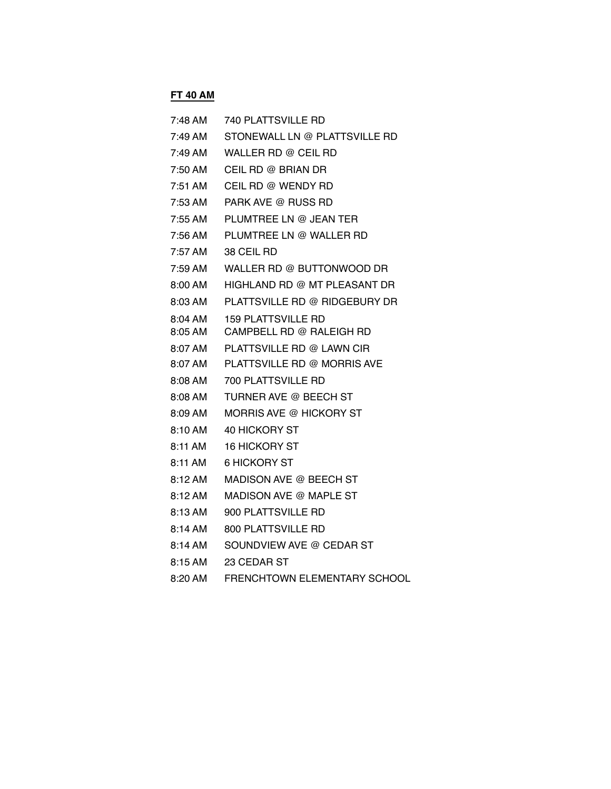## **FT 40 AM**

| 7:48 AM           | 740 PLATTSVILLE RD                  |
|-------------------|-------------------------------------|
| 7:49 AM           | STONEWALL LN @ PLATTSVILLE RD       |
| 7:49 AM           | WALLER RD @ CEIL RD                 |
| 7:50 AM           | CEIL RD @ BRIAN DR                  |
| 7:51 AM           | CEIL RD @ WENDY RD                  |
| 7:53 AM           | PARK AVE @ RUSS RD                  |
| $7:55 \text{ AM}$ | PLUMTREE LN @ JEAN TER              |
| 7:56 AM           | PLUMTREE LN @ WALLER RD             |
| 7:57 AM           | 38 CEIL RD                          |
| 7:59 AM           | WALLER RD @ BUTTONWOOD DR           |
| $8:00 \text{ AM}$ | HIGHLAND RD @ MT PLEASANT DR        |
| 8:03 AM           | PLATTSVILLE RD @ RIDGEBURY DR       |
| 8:04 AM           | 159 PLATTSVILLE RD                  |
| 8:05 AM           | CAMPBELL RD @ RALEIGH RD            |
| 8:07 AM           | PLATTSVILLE RD @ LAWN CIR           |
| 8:07 AM           | PLATTSVILLE RD @ MORRIS AVE         |
| 8:08 AM           | 700 PLATTSVILLE RD                  |
| $8:08 \text{ AM}$ | TURNER AVE @ BEECH ST               |
| $8:09 \text{ AM}$ | <b>MORRIS AVE @ HICKORY ST</b>      |
| 8:10 AM           | 40 HICKORY ST                       |
| 8:11 AM           | <b>16 HICKORY ST</b>                |
| 8:11 AM           | <b>6 HICKORY ST</b>                 |
| 8:12 AM           | MADISON AVE @ BEECH ST              |
| 8:12 AM           | MADISON AVE @ MAPLE ST              |
| 8:13 AM           | 900 PLATTSVILLE RD                  |
| 8:14 AM           | 800 PLATTSVILLE RD                  |
| $8:14 \text{ AM}$ | SOUNDVIEW AVE @ CEDAR ST            |
| $8:15 \text{ AM}$ | 23 CEDAR ST                         |
| 8:20 AM           | <b>FRENCHTOWN ELEMENTARY SCHOOL</b> |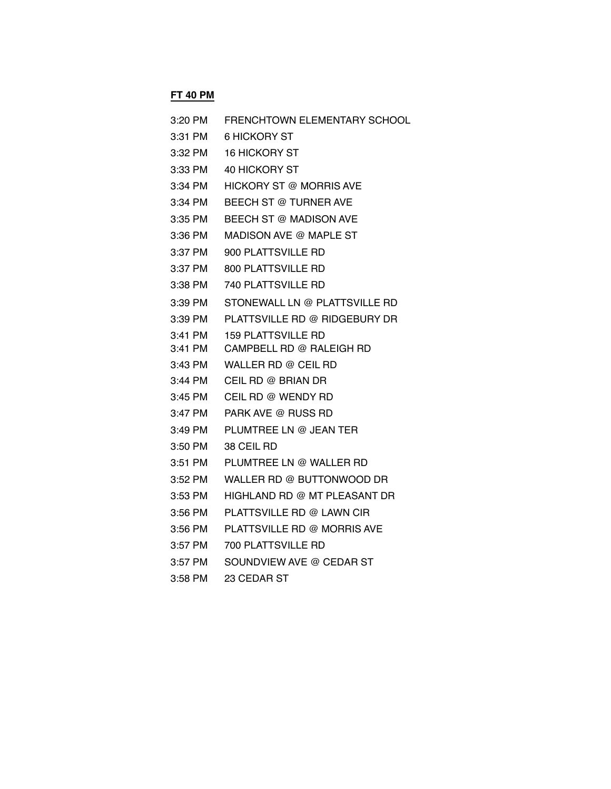# **FT 40 PM**

| 3:20 PM   | FRENCHTOWN ELEMENTARY SCHOOL   |
|-----------|--------------------------------|
| 3:31 PM   | 6 HICKORY ST                   |
| 3:32 PM   | 16 HICKORY ST                  |
| 3:33 PM   | <b>40 HICKORY ST</b>           |
| 3:34 PM   | <b>HICKORY ST @ MORRIS AVE</b> |
| 3:34 PM   | <b>BEECH ST @ TURNER AVE</b>   |
| 3:35 PM   | BEECH ST @ MADISON AVE         |
| 3:36 PM   | MADISON AVE @ MAPLE ST         |
| 3:37 PM   | 900 PLATTSVILLE RD             |
| 3:37 PM   | 800 PLATTSVILLE RD             |
| 3:38 PM   | 740 PLATTSVILLE RD             |
| 3:39 PM   | STONEWALL LN @ PLATTSVILLE RD  |
| 3:39 PM   | PLATTSVILLE RD @ RIDGEBURY DR  |
| 3:41 PM   | <b>159 PLATTSVILLE RD</b>      |
| $3:41$ PM | CAMPBELL RD @ RALEIGH RD       |
| 3:43 PM   | WALLER RD @ CEIL RD            |
| 3:44 PM   | CEIL RD @ BRIAN DR             |
| 3:45 PM   | CEIL RD @ WENDY RD             |
| 3:47 PM   | PARK AVE @ RUSS RD             |
| 3:49 PM   | PLUMTREE LN @ JEAN TER         |
| 3:50 PM   | 38 CEIL RD                     |
| $3:51$ PM | PLUMTREE LN @ WALLER RD        |
| 3:52 PM   | WALLER RD @ BUTTONWOOD DR      |
| 3:53 PM   | HIGHLAND RD @ MT PLEASANT DR   |
| 3:56 PM   | PLATTSVILLE RD @ LAWN CIR      |
| 3:56 PM   | PLATTSVILLE RD @ MORRIS AVE    |
| 3:57 PM   | 700 PLATTSVILLE RD             |
| 3:57 PM   | SOUNDVIEW AVE @ CEDAR ST       |
| $3:58$ PM | 23 CEDAR ST                    |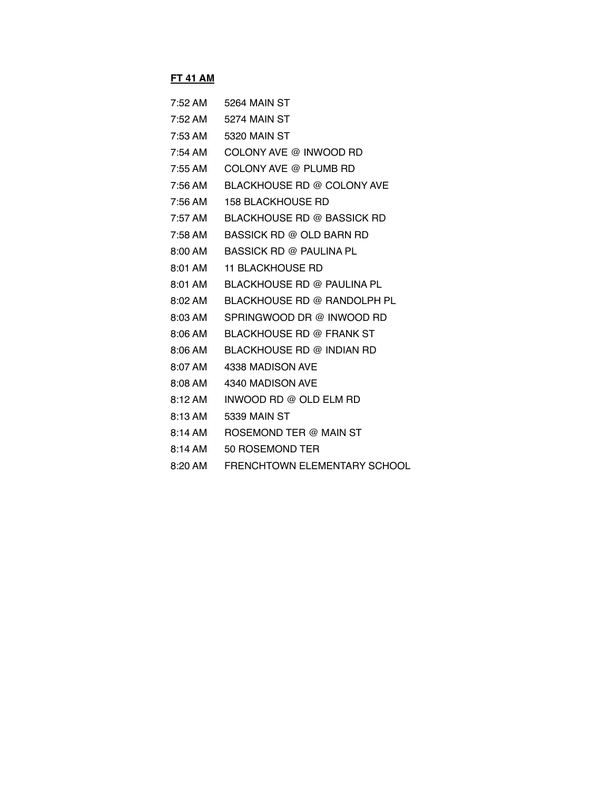#### **FT 41 AM**

| $7:52$ AM           | 5264 MAIN ST                      |
|---------------------|-----------------------------------|
| 7:52 AM             | 5274 MAIN ST                      |
| 7:53 AM             | 5320 MAIN ST                      |
| $7:54 \, \text{AM}$ | COLONY AVE @ INWOOD RD            |
| $7:55$ AM           | COLONY AVE @ PLUMB RD             |
| 7:56 AM             | BLACKHOUSE RD @ COLONY AVE        |
| $7:56 \text{ AM}$   | <b>158 BLACKHOUSE RD</b>          |
| 7:57 AM             | <b>BLACKHOUSE RD @ BASSICK RD</b> |
| 7:58 AM             | <b>BASSICK RD @ OLD BARN RD</b>   |
| $8:00 \text{ AM}$   | BASSICK RD @ PAULINA PL           |
| 8:01 AM             | <b>11 BLACKHOUSE RD</b>           |
| 8:01 AM             | BLACKHOUSE RD @ PAULINA PL        |
| 8:02 AM             | BLACKHOUSE RD @ RANDOLPH PL       |
| $8:03 \text{ AM}$   | SPRINGWOOD DR @ INWOOD RD         |
| $8:06 \text{ AM}$   | BLACKHOUSE RD @ FRANK ST          |
| $8:06$ AM           | BLACKHOUSE RD @ INDIAN RD         |
| 8:07 AM             | 4338 MADISON AVE                  |
| 8:08 AM             | 4340 MADISON AVE                  |
| $8:12 \text{ AM}$   | INWOOD RD @ OLD ELM RD            |
| 8:13 AM             | 5339 MAIN ST                      |
| $8:14 \text{ AM}$   | ROSEMOND TER @ MAIN ST            |
| 8:14 AM             | 50 ROSEMOND TER                   |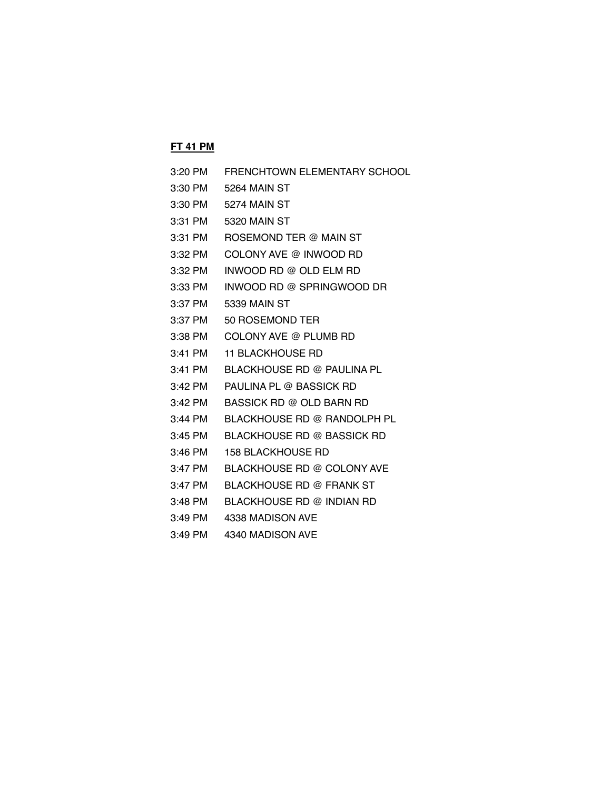## **FT 41 PM**

| 3:20 PM   | FRENCHTOWN ELEMENTARY SCHOOL    |
|-----------|---------------------------------|
|           | 3:30 PM 5264 MAIN ST            |
|           | 3:30 PM 5274 MAIN ST            |
| 3:31 PM   | 5320 MAIN ST                    |
| 3:31 PM   | ROSEMOND TER @ MAIN ST          |
| 3:32 PM   | COLONY AVE @ INWOOD RD          |
| 3:32 PM   | INWOOD RD @ OLD ELM RD          |
| 3:33 PM   | INWOOD RD @ SPRINGWOOD DR       |
| 3:37 PM   | 5339 MAIN ST                    |
| 3:37 PM   | 50 ROSEMOND TER                 |
| 3:38 PM   | COLONY AVE @ PLUMB RD           |
| 3:41 PM   | <b>11 BLACKHOUSE RD</b>         |
| 3:41 PM   | BLACKHOUSE RD @ PAULINA PL      |
| 3:42 PM   | PAULINA PL @ BASSICK RD         |
| 3:42 PM   | <b>BASSICK RD @ OLD BARN RD</b> |
| 3:44 PM   | BLACKHOUSE RD @ RANDOLPH PL     |
| 3:45 PM   | BLACKHOUSE RD @ BASSICK RD      |
| 3:46 PM   | <b>158 BLACKHOUSE RD</b>        |
| 3:47 PM   | BLACKHOUSE RD @ COLONY AVE      |
| 3:47 PM   | <b>BLACKHOUSE RD @ FRANK ST</b> |
| 3:48 PM   | BLACKHOUSE RD @ INDIAN RD       |
| $3:49$ PM | 4338 MADISON AVE                |

3:49 PM 4340 MADISON AVE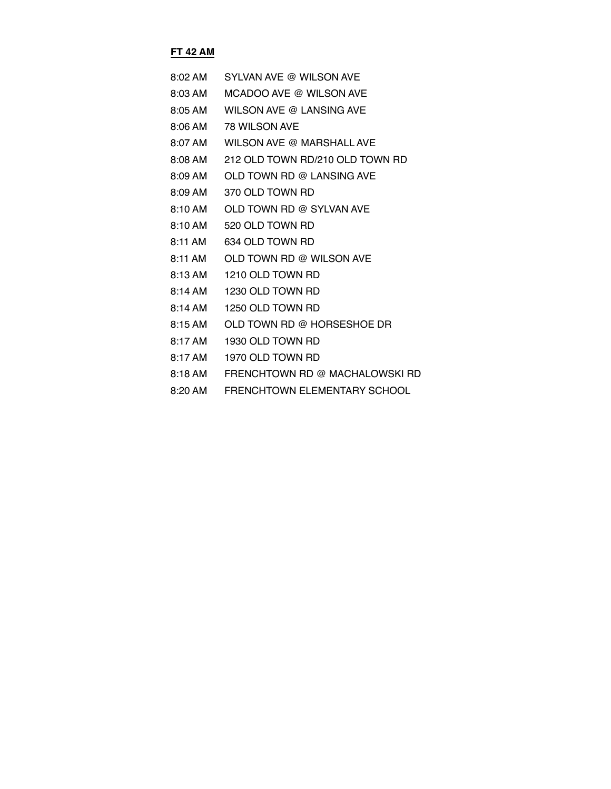## **FT 42 AM**

| $8:02 \, \text{AM}$ | SYLVAN AVE @ WILSON AVE         |
|---------------------|---------------------------------|
| 8:03 AM             | MCADOO AVE @ WILSON AVE         |
| 8:05 AM             | WILSON AVE @ LANSING AVE        |
| 8:06 AM             | 78 WILSON AVE                   |
| 8:07 AM             | WILSON AVE @ MARSHALL AVE       |
| 8:08 AM             | 212 OLD TOWN RD/210 OLD TOWN RD |
| 8:09 AM             | OLD TOWN RD @ LANSING AVE       |
| 8:09 AM             | 370 OLD TOWN RD                 |
| 8:10 AM             | OLD TOWN RD @ SYLVAN AVE        |
| 8:10 AM             | 520 OLD TOWN RD                 |
| 8:11 AM             | 634 OLD TOWN RD                 |
| $8:11$ AM           | OLD TOWN RD @ WILSON AVE        |
| 8:13 AM             | 1210 OLD TOWN RD                |
| 8:14 AM             | 1230 OLD TOWN RD                |
| 8:14 AM             | 1250 OLD TOWN RD                |
| 8:15AM              | OLD TOWN RD @ HORSESHOE DR      |
| $8:17$ AM           | 1930 OLD TOWN RD                |
| 8:17 AM             | 1970 OLD TOWN RD                |
| $8:18$ AM           | FRENCHTOWN RD @ MACHALOWSKI RD  |
|                     |                                 |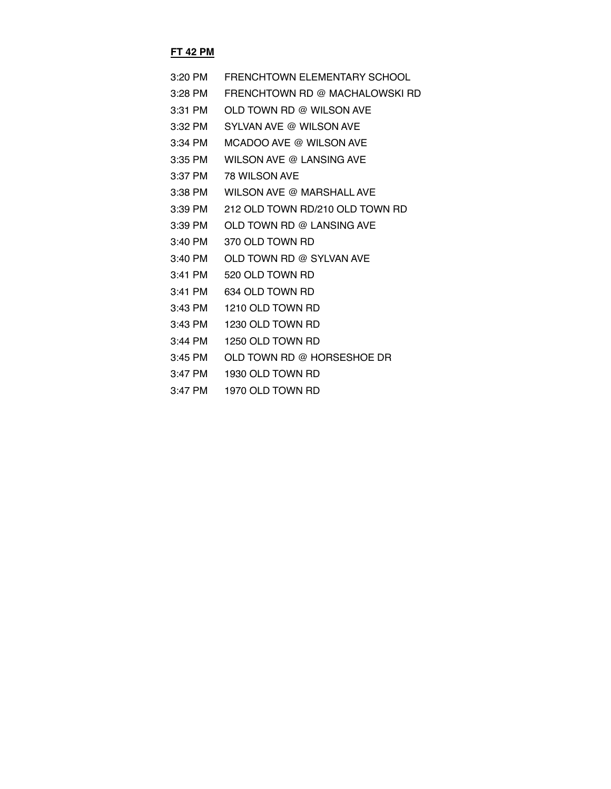## **FT 42 PM**

| $3:20$ PM | FRENCHTOWN EI EMENTARY SCHOOL   |
|-----------|---------------------------------|
| 3:28 PM   | FRENCHTOWN RD @ MACHALOWSKI RD  |
| $3:31$ PM | OLD TOWN RD @ WILSON AVE        |
| $3:32$ PM | SYLVAN AVE @ WILSON AVE         |
| $3:34$ PM | MCADOO AVE @ WILSON AVE         |
| $3:35$ PM | WILSON AVE @ LANSING AVE        |
| $3:37$ PM | 78 WILSON AVE                   |
| 3:38 PM   | WILSON AVE @ MARSHALL AVE       |
| $3:39$ PM | 212 OLD TOWN RD/210 OLD TOWN RD |
| $3:39$ PM | OLD TOWN RD @ LANSING AVE       |
| $3:40$ PM | 370 OLD TOWN RD                 |
| $3:40$ PM | OLD TOWN RD @ SYLVAN AVE        |
| $3:41$ PM | 520 OLD TOWN RD                 |
| $3:41$ PM | 634 OLD TOWN RD                 |
| $3:43$ PM | 1210 OLD TOWN RD                |
| 3:43 PM   | 1230 OLD TOWN RD                |
| 3:44 PM   | 1250 OLD TOWN RD                |
| 3:45 PM   | OLD TOWN RD @ HORSESHOE DR      |
| $3:47$ PM | 1930 OLD TOWN RD                |
|           |                                 |

3:47 PM 1970 OLD TOWN RD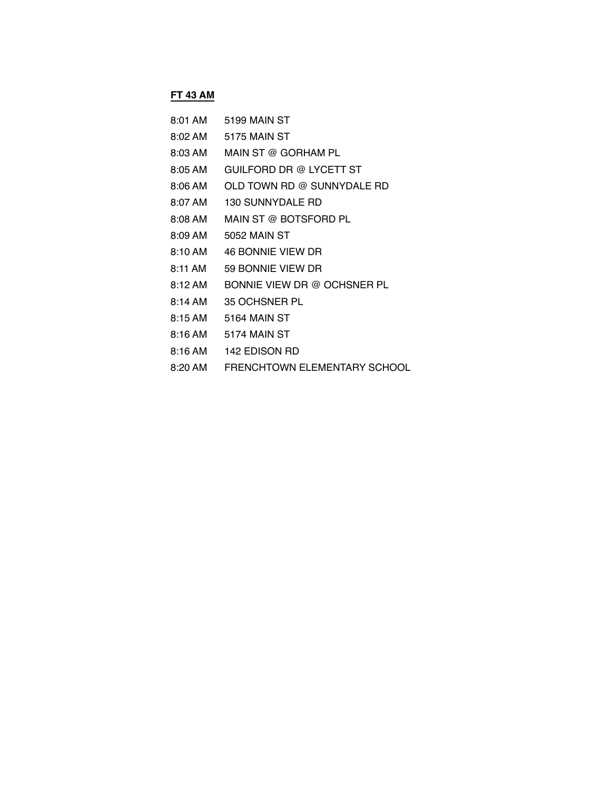# **FT 43 AM**

| 8:01 AM             | 5199 MAIN ST                 |
|---------------------|------------------------------|
| $8:02 \, \text{AM}$ | 5175 MAIN ST                 |
| 8:03 AM             | MAIN ST @ GORHAM PL          |
| $8:05 \text{ AM}$   | GUILFORD DR @ LYCETT ST      |
| $8:06$ AM           | OLD TOWN RD @ SUNNYDALE RD   |
| 8:07 AM             | <b>130 SUNNYDALE RD</b>      |
| 8:08 AM             | MAIN ST @ BOTSFORD PL        |
| $8:09 \text{ AM}$   | 5052 MAIN ST                 |
| 8:10 AM             | <b>46 BONNIE VIEW DR</b>     |
| 8:11 AM             | 59 BONNIE VIEW DR            |
| 8:12AM              | BONNIE VIEW DR @ OCHSNER PL  |
| $8:14 \text{ AM}$   | 35 OCHSNER PL                |
| 8:15AM              | 5164 MAIN ST                 |
| 8:16 AM             | 5174 MAIN ST                 |
| 8:16 AM             | 142 EDISON RD                |
| 8:20 AM             | FRENCHTOWN ELEMENTARY SCHOOL |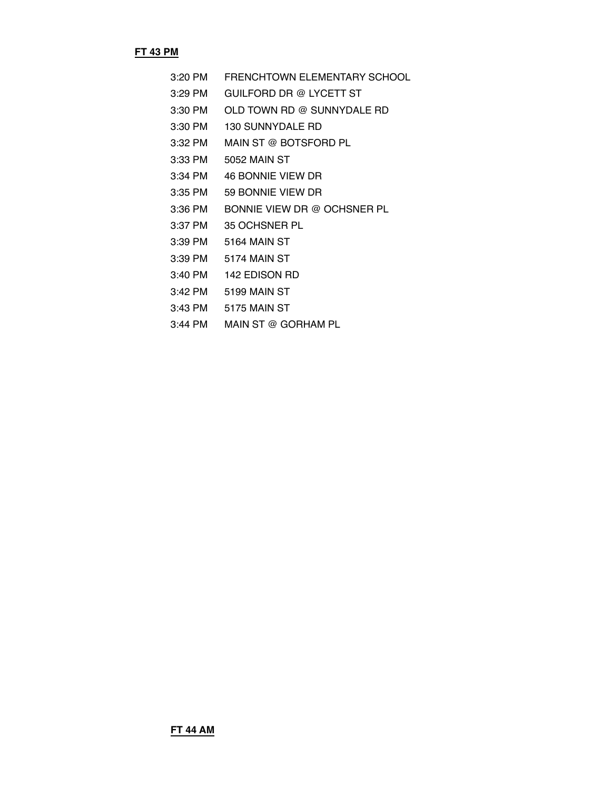#### **FT 43 PM**

- 3:20 PM FRENCHTOWN ELEMENTARY SCHOOL
- 3:29 PM GUILFORD DR @ LYCETT ST
- 3:30 PM OLD TOWN RD @ SUNNYDALE RD
- 3:30 PM 130 SUNNYDALE RD
- 3:32 PM MAIN ST @ BOTSFORD PL
- 3:33 PM 5052 MAIN ST
- 3:34 PM 46 BONNIE VIEW DR
- 3:35 PM 59 BONNIE VIEW DR
- 3:36 PM BONNIE VIEW DR @ OCHSNER PL
- 3:37 PM 35 OCHSNER PL
- 3:39 PM 5164 MAIN ST
- 3:39 PM 5174 MAIN ST
- 3:40 PM 142 EDISON RD
- 3:42 PM 5199 MAIN ST
- 3:43 PM 5175 MAIN ST
- 3:44 PM MAIN ST @ GORHAM PL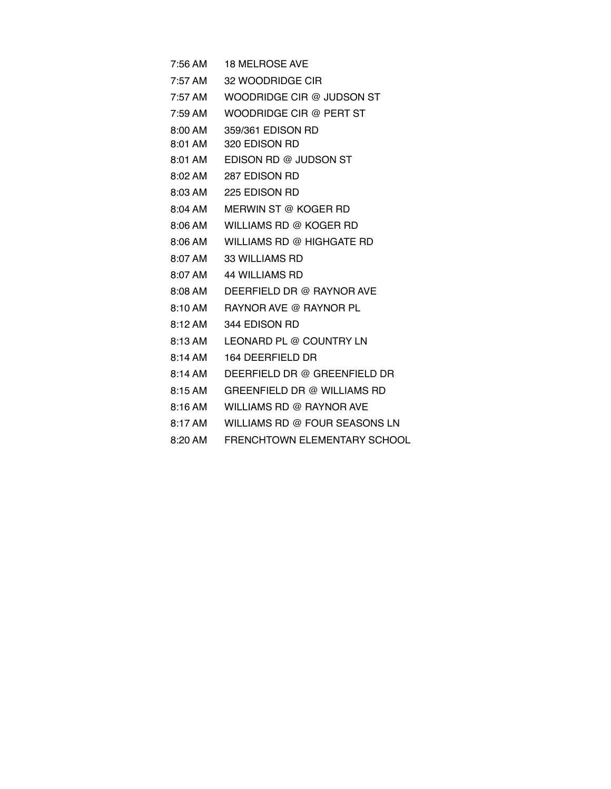7:56 AM 18 MELROSE AVE

- 7:57 AM 32 WOODRIDGE CIR
- 7:57 AM WOODRIDGE CIR @ JUDSON ST
- 7:59 AM WOODRIDGE CIR @ PERT ST
- 8:00 AM 359/361 EDISON RD
- 8:01 AM 320 EDISON RD
- 8:01 AM EDISON RD @ JUDSON ST
- 8:02 AM 287 EDISON RD
- 8:03 AM 225 EDISON RD
- 8:04 AM MERWIN ST @ KOGER RD
- 8:06 AM WILLIAMS RD @ KOGER RD
	- 8:06 AM WILLIAMS RD @ HIGHGATE RD
	- 8:07 AM 33 WILLIAMS RD
	- 8:07 AM 44 WILLIAMS RD
	- 8:08 AM DEERFIELD DR @ RAYNOR AVE
	- 8:10 AM RAYNOR AVE @ RAYNOR PL
	- 8:12 AM 344 EDISON RD
	- 8:13 AM LEONARD PL @ COUNTRY LN
- 8:14 AM 164 DEERFIELD DR
- 8:14 AM DEERFIELD DR @ GREENFIELD DR
- 8:15 AM GREENFIELD DR @ WILLIAMS RD
- 8:16 AM WILLIAMS RD @ RAYNOR AVE
- 8:17 AM WILLIAMS RD @ FOUR SEASONS LN
- 8:20 AM FRENCHTOWN ELEMENTARY SCHOOL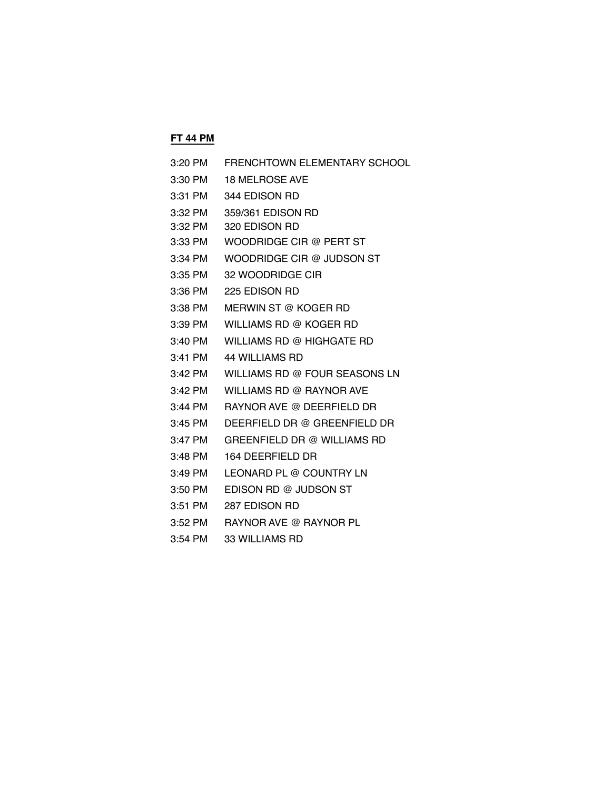#### **FT 44 PM**

| WILLIAMS RD @ FOUR SEASONS LN |
|-------------------------------|
|                               |
|                               |
|                               |
|                               |
|                               |
|                               |
|                               |
|                               |
|                               |
| DEERFIELD DR @ GREENFIELD DR  |

3:54 PM 33 WILLIAMS RD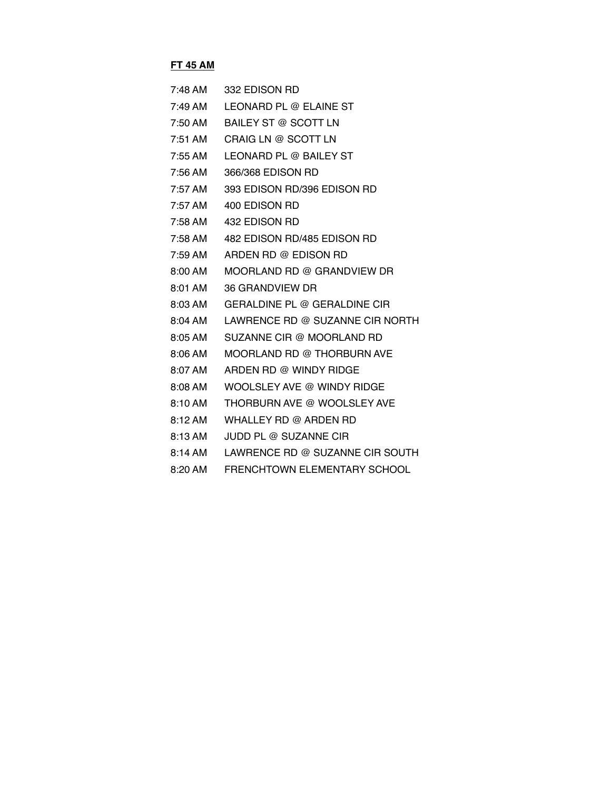## **FT 45 AM**

| $7:48 \text{ AM}$ | 332 EDISON RD                   |
|-------------------|---------------------------------|
| 7:49 AM           | LEONARD PL @ ELAINE ST          |
| 7:50 AM           | <b>BAILEY ST @ SCOTT LN</b>     |
| 7:51 AM           | CRAIG LN @ SCOTT LN             |
| 7:55 AM           | LEONARD PL @ BAILEY ST          |
| 7:56 AM           | 366/368 EDISON RD               |
| 7:57 AM           | 393 EDISON RD/396 EDISON RD     |
| 7:57 AM           | 400 EDISON RD                   |
| 7:58 AM           | 432 EDISON RD                   |
| 7:58 AM           | 482 EDISON RD/485 EDISON RD     |
| 7:59 AM           | ARDEN RD @ EDISON RD            |
| $8:00 \text{ AM}$ | MOORLAND RD @ GRANDVIEW DR      |
| 8:01 AM           | 36 GRANDVIEW DR                 |
| $8:03 \text{ AM}$ | GERALDINE PL @ GERALDINE CIR    |
| 8:04 AM           | LAWRENCE RD @ SUZANNE CIR NORTH |
| 8:05 AM           | SUZANNE CIR @ MOORLAND RD       |
| $8:06 \text{ AM}$ | MOORLAND RD @ THORBURN AVE      |
| 8:07 AM           | ARDEN RD @ WINDY RIDGE          |
| 8:08 AM           | WOOLSLEY AVE @ WINDY RIDGE      |
| $8:10 \text{ AM}$ | THORBURN AVE @ WOOLSLEY AVE     |
| 8:12 AM           | WHALLEY RD @ ARDEN RD           |
| 8:13 AM           | JUDD PL @ SUZANNE CIR           |
| $8:14 \text{ AM}$ | LAWRENCE RD @ SUZANNE CIR SOUTH |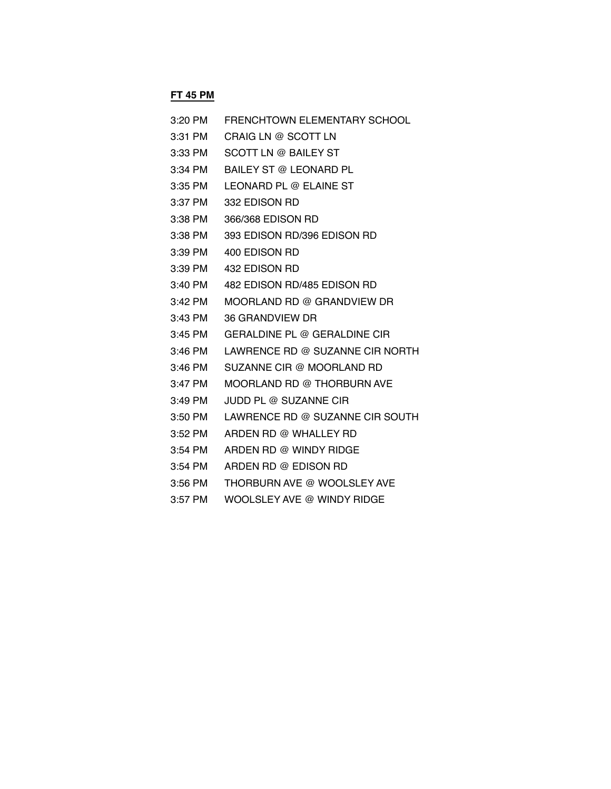# **FT 45 PM**

| 3:20 PM   | <b>FRENCHTOWN ELEMENTARY SCHOOL</b> |
|-----------|-------------------------------------|
| 3:31 PM   | CRAIG LN @ SCOTT LN                 |
| 3:33 PM   | SCOTT LN @ BAILEY ST                |
| 3:34 PM   | BAILEY ST @ LEONARD PL              |
| 3:35 PM   | LEONARD PL @ ELAINE ST              |
| 3:37 PM   | 332 EDISON RD                       |
| 3:38 PM   | 366/368 EDISON RD                   |
| 3:38 PM   | 393 EDISON RD/396 EDISON RD         |
| 3:39 PM   | 400 EDISON RD                       |
| 3:39 PM   | 432 EDISON RD                       |
| 3:40 PM   | 482 EDISON RD/485 EDISON RD         |
| $3:42$ PM | MOORLAND RD @ GRANDVIEW DR          |
| 3:43 PM   | 36 GRANDVIEW DR                     |
| 3:45 PM   | GERALDINE PL @ GERALDINE CIR        |
| 3:46 PM   | LAWRENCE RD @ SUZANNE CIR NORTH     |
| 3:46 PM   | SUZANNE CIR @ MOORLAND RD           |
| 3:47 PM   | MOORLAND RD @ THORBURN AVE          |
| 3:49 PM   | JUDD PL @ SUZANNE CIR               |
| 3:50 PM   | LAWRENCE RD @ SUZANNE CIR SOUTH     |
| 3:52 PM   | ARDEN RD @ WHALLEY RD               |
| 3:54 PM   | ARDEN RD @ WINDY RIDGE              |
| 3:54 PM   | ARDEN RD @ EDISON RD                |
| 3:56 PM   | THORBURN AVE @ WOOLSLEY AVE         |
| 3:57 PM   | WOOLSLEY AVE @ WINDY RIDGE          |
|           |                                     |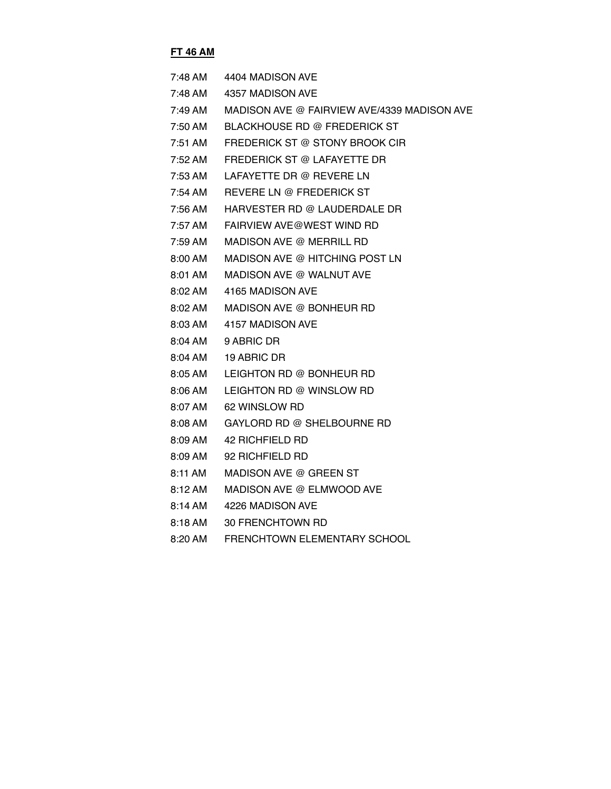## **FT 46 AM**

|         | 7:48 AM 4404 MADISON AVE                    |
|---------|---------------------------------------------|
| 7:48 AM | 4357 MADISON AVE                            |
| 7:49 AM | MADISON AVE @ FAIRVIEW AVE/4339 MADISON AVE |
| 7:50 AM | <b>BLACKHOUSE RD @ FREDERICK ST</b>         |
| 7:51 AM | FREDERICK ST @ STONY BROOK CIR              |
| 7:52 AM | FREDERICK ST @ LAFAYETTE DR                 |
| 7:53 AM | LAFAYETTE DR @ REVERE LN                    |
| 7:54 AM | REVERE LN @ FREDERICK ST                    |
| 7:56 AM | HARVESTER RD @ LAUDERDALE DR                |
| 7:57 AM | FAIRVIEW AVE@WEST WIND RD                   |
| 7:59 AM | MADISON AVE @ MERRILL RD                    |
| 8:00 AM | MADISON AVE @ HITCHING POST LN              |
| 8:01 AM | MADISON AVE @ WALNUT AVE                    |
| 8:02 AM | 4165 MADISON AVE                            |
| 8:02 AM | MADISON AVE @ BONHEUR RD                    |
|         | 8:03 AM 4157 MADISON AVE                    |
|         | 8:04 AM 9 ABRIC DR                          |
| 8:04 AM | 19 ABRIC DR                                 |
| 8:05 AM | LEIGHTON RD @ BONHEUR RD                    |
| 8:06 AM | LEIGHTON RD @ WINSLOW RD                    |
| 8:07 AM | 62 WINSLOW RD                               |
| 8:08 AM | GAYLORD RD @ SHELBOURNE RD                  |
| 8:09 AM | 42 RICHFIELD RD                             |
| 8:09 AM | 92 RICHFIELD RD                             |
| 8:11 AM | MADISON AVE @ GREEN ST                      |
| 8:12 AM | MADISON AVE @ ELMWOOD AVE                   |
| 8:14 AM | 4226 MADISON AVE                            |
| 8:18 AM | 30 FRENCHTOWN RD                            |
| 8:20 AM | <b>FRENCHTOWN ELEMENTARY SCHOOL</b>         |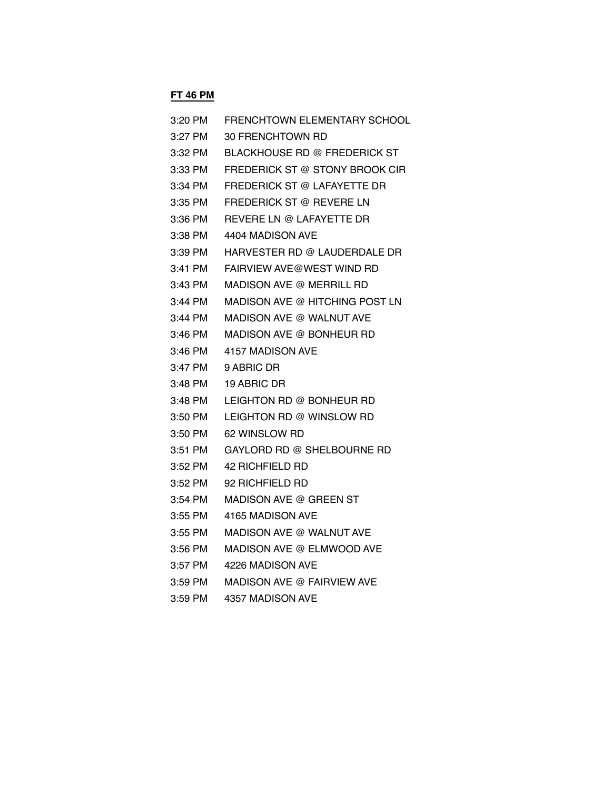# **FT 46 PM**

| 3:20 PM   | FRENCHTOWN ELEMENTARY SCHOOL   |
|-----------|--------------------------------|
| $3:27$ PM | 30 FRENCHTOWN RD               |
| 3:32 PM   | BLACKHOUSE RD @ FREDERICK ST   |
| 3:33 PM   | FREDERICK ST @ STONY BROOK CIR |
| 3:34 PM   | FREDERICK ST @ LAFAYETTE DR    |
| 3:35 PM   | FREDERICK ST @ REVERE LN       |
| 3:36 PM   | REVERE LN @ LAFAYETTE DR       |
| 3:38 PM   | 4404 MADISON AVE               |
| 3:39 PM   | HARVESTER RD @ LAUDERDALE DR   |
| 3:41 PM   | FAIRVIEW AVE@WEST WIND RD      |
| 3:43 PM   | MADISON AVE @ MERRILL RD       |
| 3:44 PM   | MADISON AVE @ HITCHING POST LN |
| 3:44 PM   | MADISON AVE @ WALNUT AVE       |
| 3:46 PM   | MADISON AVE @ BONHEUR RD       |
| 3:46 PM   | 4157 MADISON AVE               |
| 3:47 PM   | 9 ABRIC DR                     |
| 3:48 PM   | 19 ABRIC DR                    |
| 3:48 PM   | LEIGHTON RD @ BONHEUR RD       |
| 3:50 PM   | LEIGHTON RD @ WINSLOW RD       |
| 3:50 PM   | 62 WINSLOW RD                  |
| 3:51 PM   | GAYLORD RD @ SHELBOURNE RD     |
| 3:52 PM   | 42 RICHFIELD RD                |
| 3:52 PM   | 92 RICHFIELD RD                |
| 3:54 PM   | MADISON AVE @ GREEN ST         |
| 3:55 PM   | 4165 MADISON AVE               |
| 3:55 PM   | MADISON AVE @ WALNUT AVE       |
| $3:56$ PM | MADISON AVE @ ELMWOOD AVE      |
| 3:57 PM   | 4226 MADISON AVE               |
| $3:59$ PM | MADISON AVE @ FAIRVIEW AVE     |
| 3:59 PM   | 4357 MADISON AVE               |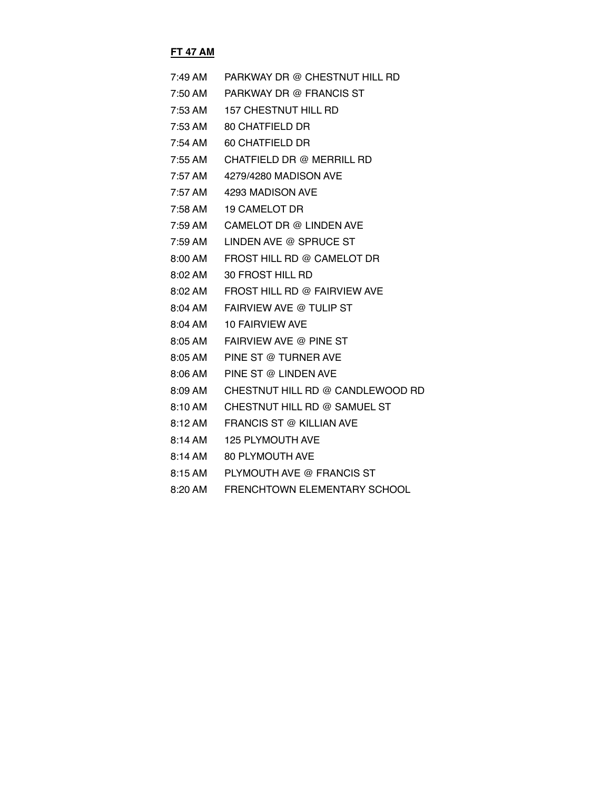#### **FT 47 AM**

| $7:49$ AM | PARKWAY DR @ CHESTNUT HILL RD    |
|-----------|----------------------------------|
| 7:50 AM   | PARKWAY DR @ FRANCIS ST          |
| 7:53 AM   | <b>157 CHESTNUT HILL RD</b>      |
| 7:53 AM   | 80 CHATFIELD DR                  |
| 7:54 AM   | 60 CHATFIELD DR                  |
| 7:55 AM   | CHATFIELD DR @ MERRILL RD        |
| 7:57 AM   | 4279/4280 MADISON AVE            |
| 7:57 AM   | 4293 MADISON AVE                 |
| 7:58 AM   | <b>19 CAMELOT DR</b>             |
| 7:59 AM   | CAMELOT DR @ LINDEN AVE          |
| 7:59 AM   | LINDEN AVE @ SPRUCE ST           |
| 8:00 AM   | FROST HILL RD @ CAMELOT DR       |
| 8:02 AM   | 30 FROST HILL RD                 |
| 8:02 AM   | FROST HILL RD @ FAIRVIEW AVE     |
| 8:04 AM   | FAIRVIEW AVE @ TULIP ST          |
| 8:04 AM   | <b>10 FAIRVIEW AVE</b>           |
| 8:05 AM   | FAIRVIEW AVE @ PINE ST           |
| 8:05 AM   | PINE ST @ TURNER AVE             |
| 8:06 AM   | PINE ST @ LINDEN AVE             |
| 8:09 AM   | CHESTNUT HILL RD @ CANDLEWOOD RD |
| 8:10 AM   | CHESTNUT HILL RD @ SAMUEL ST     |
| 8:12 AM   | FRANCIS ST @ KILLIAN AVE         |
| 8:14 AM   | <b>125 PLYMOUTH AVE</b>          |
| 8:14 AM   | <b>80 PLYMOUTH AVE</b>           |
| 8:15AM    | PLYMOUTH AVE @ FRANCIS ST        |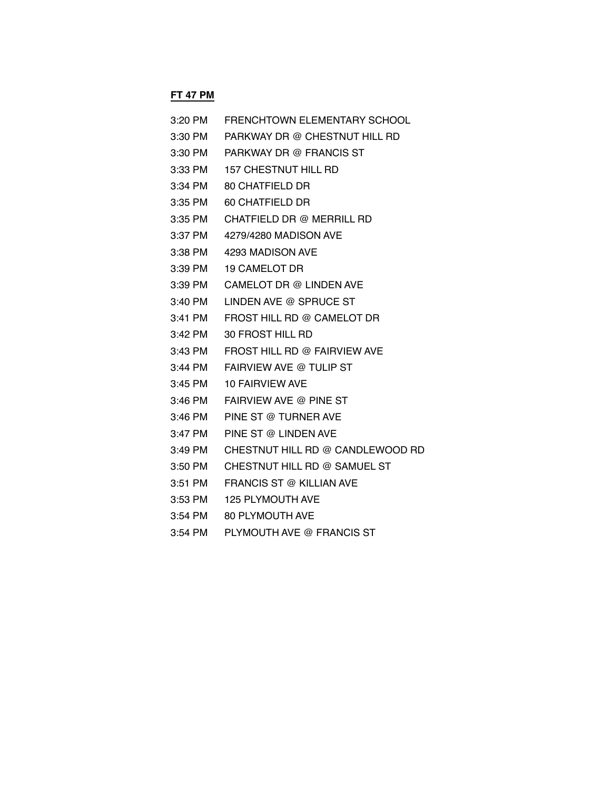## **FT 47 PM**

| $3:20$ PM | FRENCHTOWN ELEMENTARY SCHOOL     |
|-----------|----------------------------------|
| 3:30 PM   | PARKWAY DR @ CHESTNUT HILL RD    |
| 3:30 PM   | PARKWAY DR @ FRANCIS ST          |
| 3:33 PM   | <b>157 CHESTNUT HILL RD</b>      |
| $3:34$ PM | 80 CHATFIELD DR                  |
| $3:35$ PM | 60 CHATFIELD DR                  |
| 3:35 PM   | CHATFIELD DR @ MERRILL RD        |
| 3:37 PM   | 4279/4280 MADISON AVE            |
| 3:38 PM   | 4293 MADISON AVE                 |
| $3:39$ PM | <b>19 CAMELOT DR</b>             |
| 3:39 PM   | CAMELOT DR @ LINDEN AVE          |
| $3:40$ PM | LINDEN AVE @ SPRUCE ST           |
| $3:41$ PM | FROST HILL RD @ CAMELOT DR       |
| $3:42$ PM | 30 FROST HILL RD                 |
| $3:43$ PM | FROST HILL RD @ FAIRVIEW AVE     |
| 3:44 PM   | FAIRVIEW AVE @ TULIP ST          |
| $3:45$ PM | <b>10 FAIRVIEW AVE</b>           |
| 3:46 PM   | FAIRVIEW AVE @ PINE ST           |
| 3:46 PM   | PINE ST @ TURNER AVE             |
| 3:47 PM   | PINE ST @ LINDEN AVE             |
| 3:49 PM   | CHESTNUT HILL RD @ CANDLEWOOD RD |
| 3:50 PM   | CHESTNUT HILL RD @ SAMUEL ST     |
| 3:51 PM   | FRANCIS ST @ KILLIAN AVE         |
| 3:53 PM   | <b>125 PLYMOUTH AVE</b>          |
| 3:54 PM   | 80 PLYMOUTH AVE                  |

3:54 PM PLYMOUTH AVE @ FRANCIS ST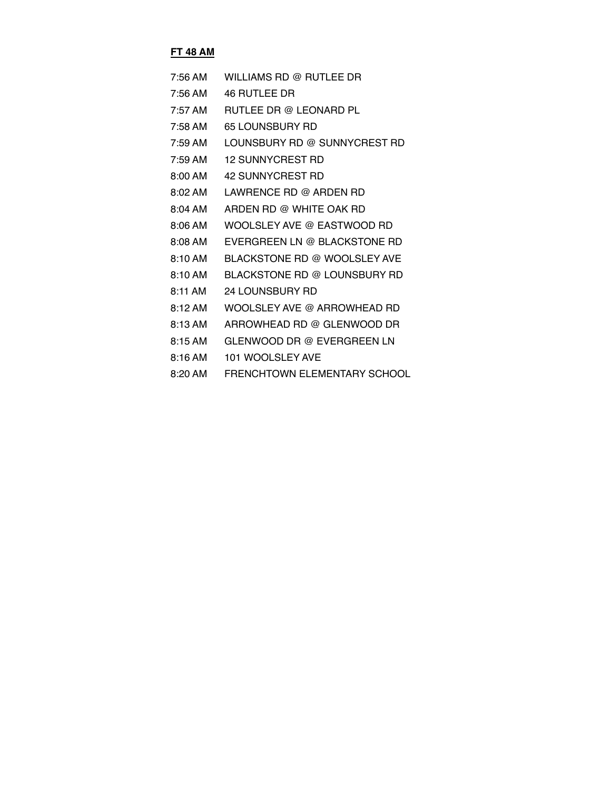#### **FT 48 AM**

| 7:56 AM   | WILLIAMS RD @ RUTLEE DR      |
|-----------|------------------------------|
| 7:56 AM   | 46 RUTLEE DR                 |
| 7:57 AM   | RUTLEE DR @ LEONARD PL       |
| 7:58 AM   | <b>65 LOUNSBURY RD</b>       |
| $7:59$ AM | LOUNSBURY RD @ SUNNYCREST RD |
| $7:59$ AM | <b>12 SUNNYCREST RD</b>      |
| 8:00 AM   | 42 SUNNYCREST RD             |
| $8:02$ AM | LAWRENCE RD @ ARDEN RD       |
| 8:04 AM   | ARDEN RD @ WHITE OAK RD      |
| $8:06$ AM | WOOLSLEY AVE @ EASTWOOD RD   |
| 8:08 AM   | EVERGREEN LN @ BLACKSTONE RD |
| 8:10AM    | BLACKSTONE RD @ WOOLSLEY AVE |
| 8:10AM    | BLACKSTONE RD @ LOUNSBURY RD |
| 8:11 AM   | 24 LOUNSBURY RD              |
| 8:12AM    | WOOLSLEY AVE @ ARROWHEAD RD  |
| 8:13 AM   | ARROWHEAD RD @ GLENWOOD DR   |
| 8:15AM    | GLENWOOD DR @ EVERGREEN LN   |
| 8:16AM    | 101 WOOLSLEY AVE             |
| $8:20$ AM | FRENCHTOWN ELEMENTARY SCHOOL |